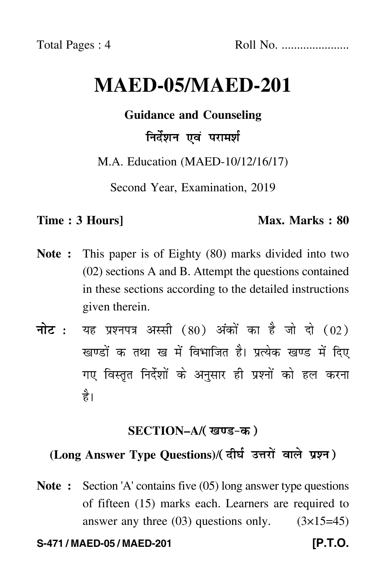# **MAED-05/MAED-201**

**Guidance and Counseling**

## निर्देशन एवं परामर्श

M.A. Education (MAED-10/12/16/17)

Second Year, Examination, 2019

## **Time : 3 Hours]** Max. Marks : 80

- **Note :** This paper is of Eighty (80) marks divided into two (02) sections A and B. Attempt the questions contained in these sections according to the detailed instructions given therein.
- नोट : यह प्रश्नपत्र अस्सी (80) अंकों का है जो दो (02) खण्डों क तथा ख में विभाजित है। प्रत्येक खण्ड में दिए गए विस्तृत निर्देशों के अनुसार ही प्रश्नों को हल करन<mark>ा</mark> है।

## **SECTION–A/**

## (Long Answer Type Questions)/( दीर्घ उत्तरों वाले प्रश्न )

**Note :** Section 'A' contains five (05) long answer type questions of fifteen (15) marks each. Learners are required to answer any three  $(03)$  questions only.  $(3\times15=45)$ 

### **S-471 / MAED-05 / MAED-201 [P.T.O.**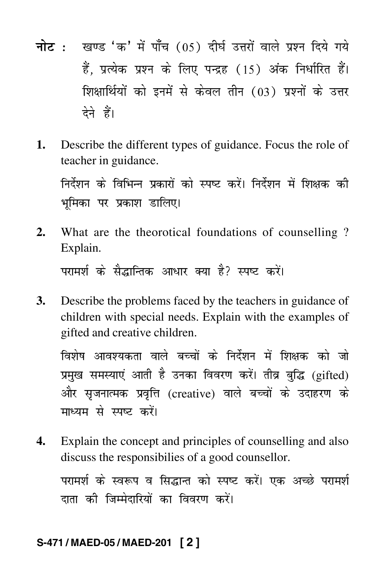- <mark>नोट</mark> : खण्ड 'क' में पाँच (05) दीर्घ उत्तरों वाले प्रश्न दिये गये हैं, प्रत्येक प्रश्न के लिए पन्द्रह (15) अंक निर्धारित हैं। शिक्षार्थियों को इनमें से केवल तीन (03) प्रश्नों के उत्तर देने हैं।
- **1.** Describe the different types of guidance. Focus the role of teacher in guidance.

निर्देशन के विभिन्न प्रकारों को स्पष्ट करें। निर्देशन में शिक्षक की भमिका पर प्रकाश डालिए।

**2.** What are the theorotical foundations of counselling ? Explain.

परामर्श के सैद्धान्तिक आधार क्या है? स्पष्ट करें।

**3.** Describe the problems faced by the teachers in guidance of children with special needs. Explain with the examples of gifted and creative children.

विशेष आवश्यकता वाले बच्चों के निर्देशन में शिक्षक को जो प्रमुख समस्याएं आती है उनका विवरण करें। तीव्र बुद्धि (gifted) और सृजनात्मक प्रवृत्ति (creative) वाले बच्चों के उदाहरण के माध्यम से स्पष्ट करें।

**4.** Explain the concept and principles of counselling and also discuss the responsibilies of a good counsellor.

परामर्श के स्वरूप व सिद्धान्त को स्पष्ट करें। एक अच्छे परामर्श दाता की जिम्मेदारियों का विवरण करें।

### **S-471 / MAED-05 / MAED-201 [ 2 ]**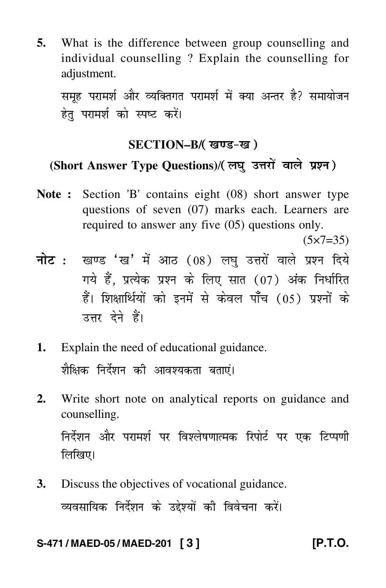**5.** What is the difference between group counselling and individual counselling ? Explain the counselling for adjustment.

समूह परामर्श और व्यक्तिगत परामर्श में क्या अन्तर है? समायोजन हेत परामर्श को स्पष्ट करें।

## **SECTION–B/**

## (Short Answer Type Questions)/( लघु उत्तरों वाले प्रश्न )

**Note :** Section 'B' contains eight (08) short answer type questions of seven (07) marks each. Learners are required to answer any five (05) questions only.

 $(5 \times 7 = 35)$ 

- <mark>नोट</mark> : खण्ड 'ख' में आठ (08) लघु उत्तरों वाले प्रश्न दिये गये हैं, प्रत्येक प्रश्न के लिए सात (07) अंक निर्धारित हैं। शिक्षार्थियों को इनमें से केवल पाँच (05) प्रश्नों के उत्तर देने हैं।
- **1.** Explain the need of educational guidance. शैक्षिक निर्देशन की आवश्यकता बताएं।
- **2.** Write short note on analytical reports on guidance and counselling. निर्देशन और परामर्श पर विश्लेषणात्मक रिपोर्ट पर एक टिप्पणी लिखिए।
- **3.** Discuss the objectives of vocational guidance. व्यवसायिक निर्देशन के उद्देश्यों की विवेचना करें।

## **S-471 / MAED-05 / MAED-201 [ 3 ] [P.T.O.**